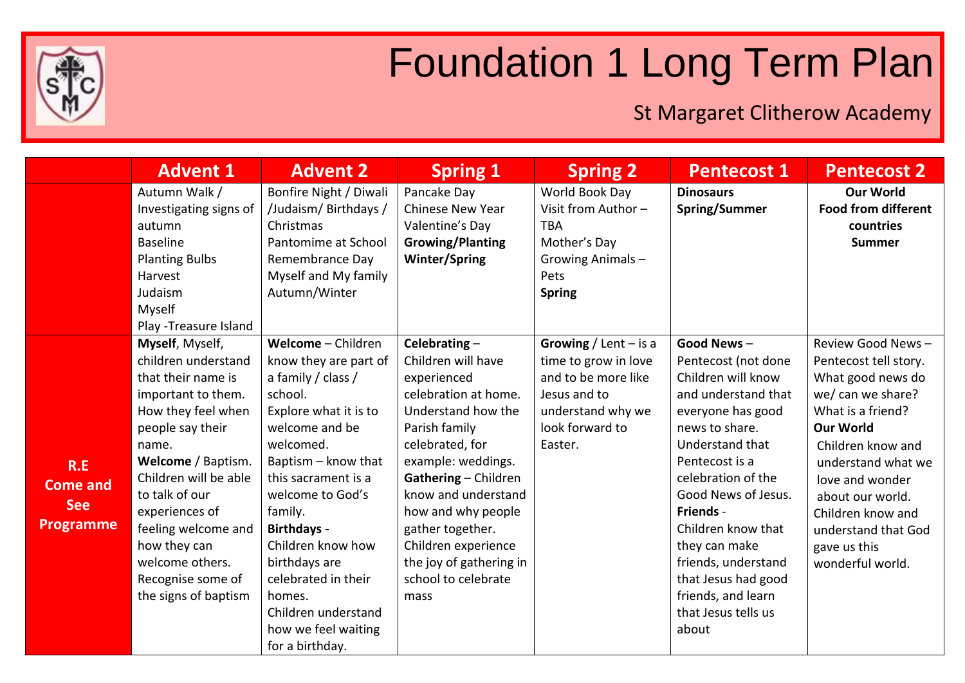

## Foundation 1 Long Term Plan

St Margaret Clitherow Academy

|                                                   | <b>Advent 1</b>                                                                                                                                                                                                                                                                                                                 | <b>Advent 2</b>                                                                                                                                                                                                                                                                                                                                                                 | <b>Spring 1</b>                                                                                                                                                                                                                                                                                                                        | <b>Spring 2</b>                                                                                                                           | <b>Pentecost 1</b>                                                                                                                                                                                                                                                                                                                                              | <b>Pentecost 2</b>                                                                                                                                                                                                                                                                              |
|---------------------------------------------------|---------------------------------------------------------------------------------------------------------------------------------------------------------------------------------------------------------------------------------------------------------------------------------------------------------------------------------|---------------------------------------------------------------------------------------------------------------------------------------------------------------------------------------------------------------------------------------------------------------------------------------------------------------------------------------------------------------------------------|----------------------------------------------------------------------------------------------------------------------------------------------------------------------------------------------------------------------------------------------------------------------------------------------------------------------------------------|-------------------------------------------------------------------------------------------------------------------------------------------|-----------------------------------------------------------------------------------------------------------------------------------------------------------------------------------------------------------------------------------------------------------------------------------------------------------------------------------------------------------------|-------------------------------------------------------------------------------------------------------------------------------------------------------------------------------------------------------------------------------------------------------------------------------------------------|
|                                                   | Autumn Walk /<br>Investigating signs of<br>autumn<br><b>Baseline</b><br><b>Planting Bulbs</b><br>Harvest<br>Judaism<br>Myself<br>Play - Treasure Island                                                                                                                                                                         | Bonfire Night / Diwali<br>/Judaism/ Birthdays /<br>Christmas<br>Pantomime at School<br>Remembrance Day<br>Myself and My family<br>Autumn/Winter                                                                                                                                                                                                                                 | Pancake Day<br><b>Chinese New Year</b><br>Valentine's Day<br><b>Growing/Planting</b><br><b>Winter/Spring</b>                                                                                                                                                                                                                           | World Book Day<br>Visit from Author -<br><b>TBA</b><br>Mother's Day<br>Growing Animals-<br>Pets<br><b>Spring</b>                          | <b>Dinosaurs</b><br>Spring/Summer                                                                                                                                                                                                                                                                                                                               | <b>Our World</b><br><b>Food from different</b><br>countries<br><b>Summer</b>                                                                                                                                                                                                                    |
| R.E<br>Come and<br><b>See</b><br><b>Programme</b> | Myself, Myself,<br>children understand<br>that their name is<br>important to them.<br>How they feel when<br>people say their<br>name.<br>Welcome / Baptism.<br>Children will be able<br>to talk of our<br>experiences of<br>feeling welcome and<br>how they can<br>welcome others.<br>Recognise some of<br>the signs of baptism | Welcome - Children<br>know they are part of<br>a family / class /<br>school.<br>Explore what it is to<br>welcome and be<br>welcomed.<br>Baptism - know that<br>this sacrament is a<br>welcome to God's<br>family.<br><b>Birthdays -</b><br>Children know how<br>birthdays are<br>celebrated in their<br>homes.<br>Children understand<br>how we feel waiting<br>for a birthday. | Celebrating $-$<br>Children will have<br>experienced<br>celebration at home.<br>Understand how the<br>Parish family<br>celebrated, for<br>example: weddings.<br>Gathering - Children<br>know and understand<br>how and why people<br>gather together.<br>Children experience<br>the joy of gathering in<br>school to celebrate<br>mass | Growing / Lent $-$ is a<br>time to grow in love<br>and to be more like<br>Jesus and to<br>understand why we<br>look forward to<br>Easter. | Good News-<br>Pentecost (not done<br>Children will know<br>and understand that<br>everyone has good<br>news to share.<br>Understand that<br>Pentecost is a<br>celebration of the<br>Good News of Jesus.<br>Friends -<br>Children know that<br>they can make<br>friends, understand<br>that Jesus had good<br>friends, and learn<br>that Jesus tells us<br>about | Review Good News-<br>Pentecost tell story.<br>What good news do<br>we/ can we share?<br>What is a friend?<br><b>Our World</b><br>Children know and<br>understand what we<br>love and wonder<br>about our world.<br>Children know and<br>understand that God<br>gave us this<br>wonderful world. |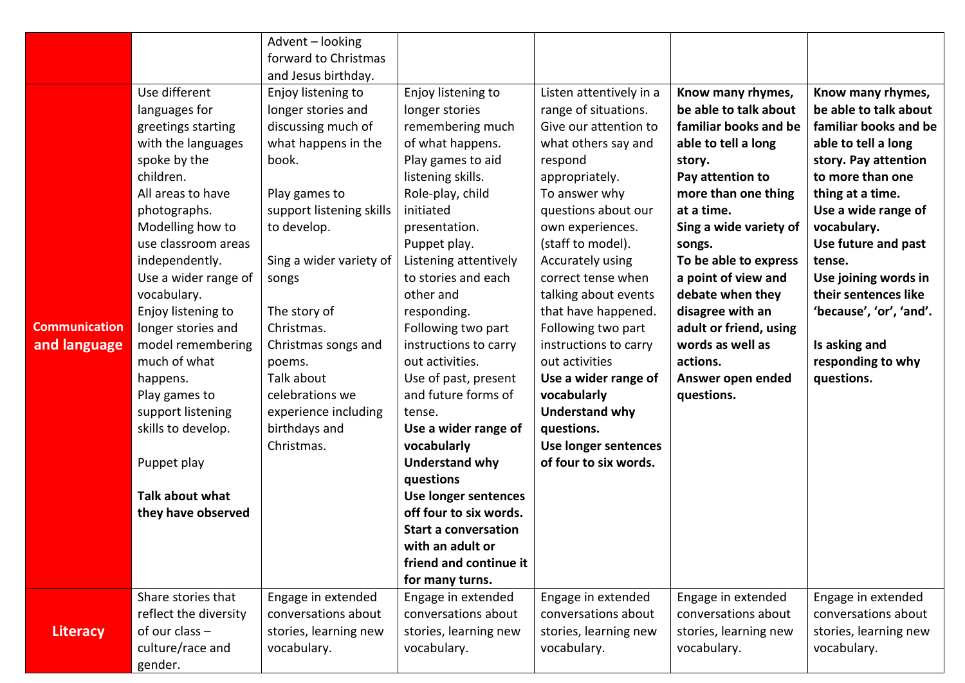|                      |                       | Advent - looking         |                             |                         |                        |                         |
|----------------------|-----------------------|--------------------------|-----------------------------|-------------------------|------------------------|-------------------------|
|                      |                       | forward to Christmas     |                             |                         |                        |                         |
|                      |                       | and Jesus birthday.      |                             |                         |                        |                         |
|                      | Use different         | Enjoy listening to       | Enjoy listening to          | Listen attentively in a | Know many rhymes,      | Know many rhymes,       |
|                      | languages for         | longer stories and       | longer stories              | range of situations.    | be able to talk about  | be able to talk about   |
|                      | greetings starting    | discussing much of       | remembering much            | Give our attention to   | familiar books and be  | familiar books and be   |
|                      | with the languages    | what happens in the      | of what happens.            | what others say and     | able to tell a long    | able to tell a long     |
|                      | spoke by the          | book.                    | Play games to aid           | respond                 | story.                 | story. Pay attention    |
|                      | children.             |                          | listening skills.           | appropriately.          | Pay attention to       | to more than one        |
|                      | All areas to have     | Play games to            | Role-play, child            | To answer why           | more than one thing    | thing at a time.        |
|                      | photographs.          | support listening skills | initiated                   | questions about our     | at a time.             | Use a wide range of     |
|                      | Modelling how to      | to develop.              | presentation.               | own experiences.        | Sing a wide variety of | vocabulary.             |
|                      | use classroom areas   |                          | Puppet play.                | (staff to model).       | songs.                 | Use future and past     |
|                      | independently.        | Sing a wider variety of  | Listening attentively       | Accurately using        | To be able to express  | tense.                  |
|                      | Use a wider range of  | songs                    | to stories and each         | correct tense when      | a point of view and    | Use joining words in    |
|                      | vocabulary.           |                          | other and                   | talking about events    | debate when they       | their sentences like    |
|                      | Enjoy listening to    | The story of             | responding.                 | that have happened.     | disagree with an       | 'because', 'or', 'and'. |
| <b>Communication</b> | longer stories and    | Christmas.               | Following two part          | Following two part      | adult or friend, using |                         |
| and language         | model remembering     | Christmas songs and      | instructions to carry       | instructions to carry   | words as well as       | Is asking and           |
|                      | much of what          | poems.                   | out activities.             | out activities          | actions.               | responding to why       |
|                      | happens.              | Talk about               | Use of past, present        | Use a wider range of    | Answer open ended      | questions.              |
|                      | Play games to         | celebrations we          | and future forms of         | vocabularly             | questions.             |                         |
|                      | support listening     | experience including     | tense.                      | <b>Understand why</b>   |                        |                         |
|                      | skills to develop.    | birthdays and            | Use a wider range of        | questions.              |                        |                         |
|                      |                       | Christmas.               | vocabularly                 | Use longer sentences    |                        |                         |
|                      | Puppet play           |                          | <b>Understand why</b>       | of four to six words.   |                        |                         |
|                      |                       |                          | questions                   |                         |                        |                         |
|                      | Talk about what       |                          | Use longer sentences        |                         |                        |                         |
|                      | they have observed    |                          | off four to six words.      |                         |                        |                         |
|                      |                       |                          | <b>Start a conversation</b> |                         |                        |                         |
|                      |                       |                          | with an adult or            |                         |                        |                         |
|                      |                       |                          | friend and continue it      |                         |                        |                         |
|                      |                       |                          | for many turns.             |                         |                        |                         |
|                      | Share stories that    | Engage in extended       | Engage in extended          | Engage in extended      | Engage in extended     | Engage in extended      |
|                      | reflect the diversity | conversations about      | conversations about         | conversations about     | conversations about    | conversations about     |
| Literacy             | of our class $-$      | stories, learning new    | stories, learning new       | stories, learning new   | stories, learning new  | stories, learning new   |
|                      | culture/race and      | vocabulary.              | vocabulary.                 | vocabulary.             | vocabulary.            | vocabulary.             |
|                      | gender.               |                          |                             |                         |                        |                         |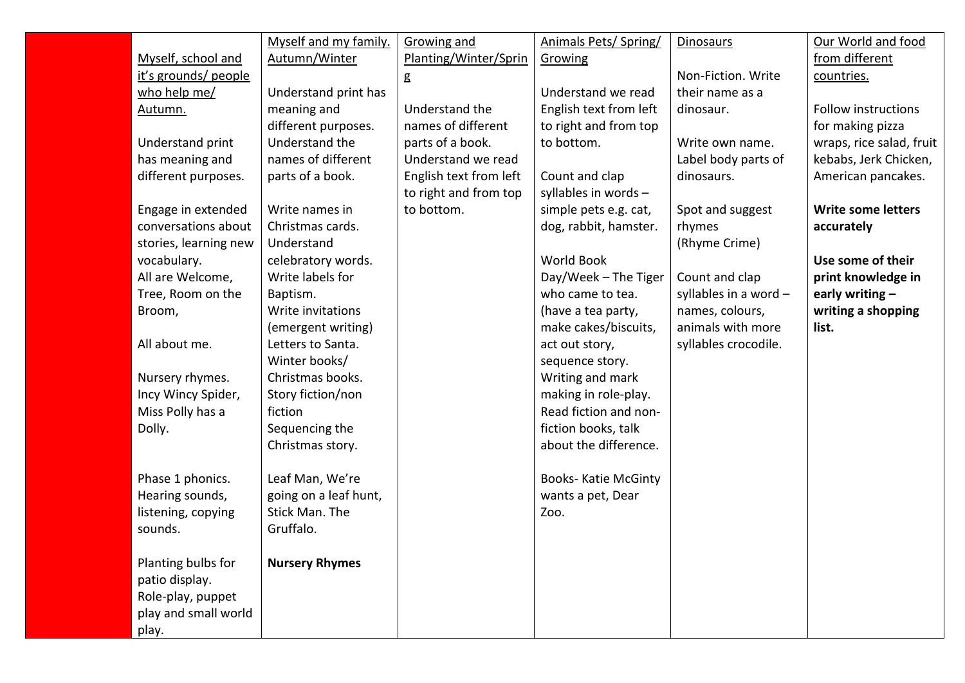|                       | Myself and my family. | <b>Growing and</b>     | Animals Pets/ Spring/       | <b>Dinosaurs</b>        | Our World and food         |
|-----------------------|-----------------------|------------------------|-----------------------------|-------------------------|----------------------------|
| Myself, school and    | Autumn/Winter         | Planting/Winter/Sprin  | Growing                     |                         | from different             |
| it's grounds/ people  |                       | g                      |                             | Non-Fiction. Write      | countries.                 |
| who help me/          | Understand print has  |                        | Understand we read          | their name as a         |                            |
| Autumn.               | meaning and           | Understand the         | English text from left      | dinosaur.               | <b>Follow instructions</b> |
|                       | different purposes.   | names of different     | to right and from top       |                         | for making pizza           |
| Understand print      | Understand the        | parts of a book.       | to bottom.                  | Write own name.         | wraps, rice salad, fruit   |
| has meaning and       | names of different    | Understand we read     |                             | Label body parts of     | kebabs, Jerk Chicken,      |
| different purposes.   | parts of a book.      | English text from left | Count and clap              | dinosaurs.              | American pancakes.         |
|                       |                       | to right and from top  | syllables in words -        |                         |                            |
| Engage in extended    | Write names in        | to bottom.             | simple pets e.g. cat,       | Spot and suggest        | <b>Write some letters</b>  |
| conversations about   | Christmas cards.      |                        | dog, rabbit, hamster.       | rhymes                  | accurately                 |
| stories, learning new | Understand            |                        |                             | (Rhyme Crime)           |                            |
| vocabulary.           | celebratory words.    |                        | <b>World Book</b>           |                         | Use some of their          |
| All are Welcome,      | Write labels for      |                        | Day/Week - The Tiger        | Count and clap          | print knowledge in         |
| Tree, Room on the     | Baptism.              |                        | who came to tea.            | syllables in a word $-$ | early writing $-$          |
| Broom,                | Write invitations     |                        | (have a tea party,          | names, colours,         | writing a shopping         |
|                       | (emergent writing)    |                        | make cakes/biscuits,        | animals with more       | list.                      |
| All about me.         | Letters to Santa.     |                        | act out story,              | syllables crocodile.    |                            |
|                       | Winter books/         |                        | sequence story.             |                         |                            |
| Nursery rhymes.       | Christmas books.      |                        | Writing and mark            |                         |                            |
| Incy Wincy Spider,    | Story fiction/non     |                        | making in role-play.        |                         |                            |
| Miss Polly has a      | fiction               |                        | Read fiction and non-       |                         |                            |
| Dolly.                | Sequencing the        |                        | fiction books, talk         |                         |                            |
|                       | Christmas story.      |                        | about the difference.       |                         |                            |
|                       |                       |                        |                             |                         |                            |
| Phase 1 phonics.      | Leaf Man, We're       |                        | <b>Books- Katie McGinty</b> |                         |                            |
| Hearing sounds,       | going on a leaf hunt, |                        | wants a pet, Dear           |                         |                            |
| listening, copying    | Stick Man. The        |                        | Zoo.                        |                         |                            |
| sounds.               | Gruffalo.             |                        |                             |                         |                            |
|                       |                       |                        |                             |                         |                            |
| Planting bulbs for    | <b>Nursery Rhymes</b> |                        |                             |                         |                            |
| patio display.        |                       |                        |                             |                         |                            |
| Role-play, puppet     |                       |                        |                             |                         |                            |
| play and small world  |                       |                        |                             |                         |                            |
| play.                 |                       |                        |                             |                         |                            |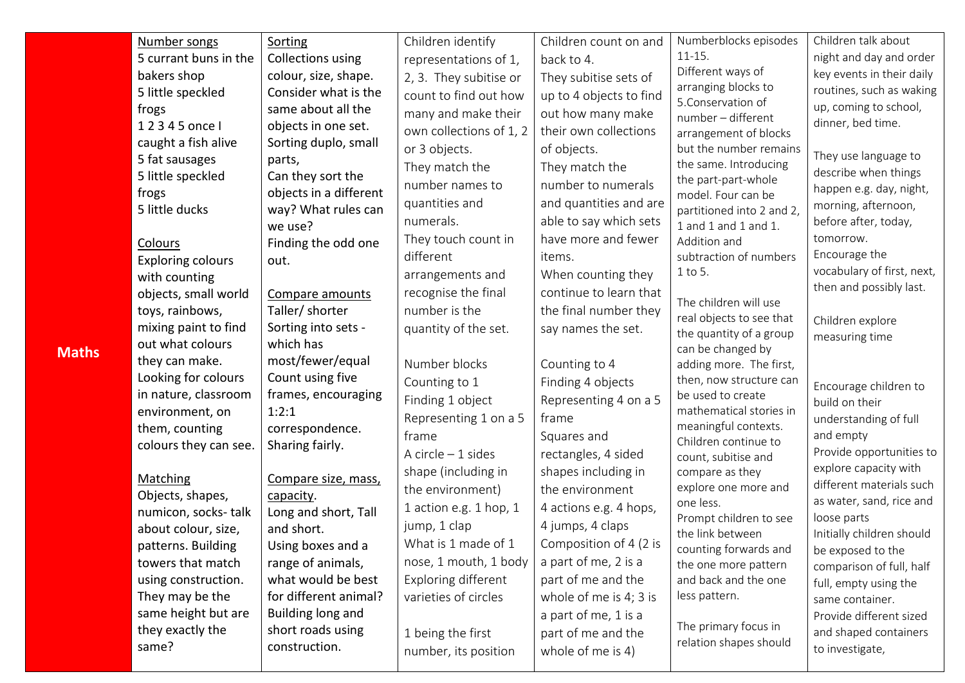| Number songs                               | Sorting                                | Children identify       | Children count on and   | Numberblocks episodes                               | Children talk about                      |
|--------------------------------------------|----------------------------------------|-------------------------|-------------------------|-----------------------------------------------------|------------------------------------------|
| 5 currant buns in the                      | Collections using                      | representations of 1,   | back to 4.              | $11 - 15.$                                          | night and day and order                  |
| bakers shop                                | colour, size, shape.                   | 2, 3. They subitise or  | They subitise sets of   | Different ways of                                   | key events in their daily                |
| 5 little speckled                          | Consider what is the                   | count to find out how   | up to 4 objects to find | arranging blocks to<br>5. Conservation of           | routines, such as waking                 |
| frogs                                      | same about all the                     | many and make their     | out how many make       | number - different                                  | up, coming to school,                    |
| 12345 once l                               | objects in one set.                    | own collections of 1, 2 | their own collections   | arrangement of blocks                               | dinner, bed time.                        |
| caught a fish alive                        | Sorting duplo, small                   | or 3 objects.           | of objects.             | but the number remains                              | They use language to                     |
| 5 fat sausages                             | parts,                                 | They match the          | They match the          | the same. Introducing                               | describe when things                     |
| 5 little speckled                          | Can they sort the                      | number names to         | number to numerals      | the part-part-whole                                 | happen e.g. day, night,                  |
| frogs                                      | objects in a different                 | quantities and          | and quantities and are  | model. Four can be                                  | morning, afternoon,                      |
| 5 little ducks                             | way? What rules can<br>we use?         | numerals.               | able to say which sets  | partitioned into 2 and 2,<br>1 and 1 and 1 and 1.   | before after, today,                     |
|                                            | Finding the odd one                    | They touch count in     | have more and fewer     | Addition and                                        | tomorrow.                                |
| <b>Colours</b><br><b>Exploring colours</b> | out.                                   | different               | items.                  | subtraction of numbers                              | Encourage the                            |
| with counting                              |                                        | arrangements and        | When counting they      | 1 to 5.                                             | vocabulary of first, next,               |
| objects, small world                       | Compare amounts                        | recognise the final     | continue to learn that  |                                                     | then and possibly last.                  |
| toys, rainbows,                            | Taller/ shorter                        | number is the           | the final number they   | The children will use                               |                                          |
| mixing paint to find                       | Sorting into sets -                    | quantity of the set.    | say names the set.      | real objects to see that<br>the quantity of a group | Children explore                         |
| out what colours                           | which has                              |                         |                         | can be changed by                                   | measuring time                           |
| they can make.                             | most/fewer/equal                       | Number blocks           | Counting to 4           | adding more. The first,                             |                                          |
| Looking for colours                        | Count using five                       | Counting to 1           | Finding 4 objects       | then, now structure can                             | Encourage children to                    |
| in nature, classroom                       | frames, encouraging                    | Finding 1 object        | Representing 4 on a 5   | be used to create                                   | build on their                           |
| environment, on                            | 1:2:1                                  | Representing 1 on a 5   | frame                   | mathematical stories in                             | understanding of full                    |
| them, counting                             | correspondence.                        | frame                   | Squares and             | meaningful contexts.                                | and empty                                |
| colours they can see.                      | Sharing fairly.                        | A circle $-1$ sides     | rectangles, 4 sided     | Children continue to<br>count, subitise and         | Provide opportunities to                 |
|                                            |                                        | shape (including in     | shapes including in     | compare as they                                     | explore capacity with                    |
| Matching                                   | Compare size, mass,                    | the environment)        | the environment         | explore one more and                                | different materials such                 |
| Objects, shapes,                           | capacity.                              | 1 action e.g. 1 hop, 1  | 4 actions e.g. 4 hops,  | one less.                                           | as water, sand, rice and                 |
| numicon, socks-talk                        | Long and short, Tall                   | jump, 1 clap            | 4 jumps, 4 claps        | Prompt children to see                              | loose parts                              |
| about colour, size,                        | and short.                             | What is 1 made of 1     | Composition of 4 (2 is  | the link between                                    | Initially children should                |
| patterns. Building<br>towers that match    | Using boxes and a<br>range of animals, | nose, 1 mouth, 1 body   | a part of me, 2 is a    | counting forwards and                               | be exposed to the                        |
| using construction.                        | what would be best                     | Exploring different     | part of me and the      | the one more pattern<br>and back and the one        | comparison of full, half                 |
| They may be the                            | for different animal?                  | varieties of circles    | whole of me is 4; 3 is  | less pattern.                                       | full, empty using the<br>same container. |
| same height but are                        | Building long and                      |                         | a part of me, 1 is a    |                                                     | Provide different sized                  |
| they exactly the                           | short roads using                      | 1 being the first       | part of me and the      | The primary focus in                                | and shaped containers                    |
| same?                                      | construction.                          |                         | whole of me is 4)       | relation shapes should                              | to investigate,                          |
|                                            |                                        | number, its position    |                         |                                                     |                                          |

**Maths**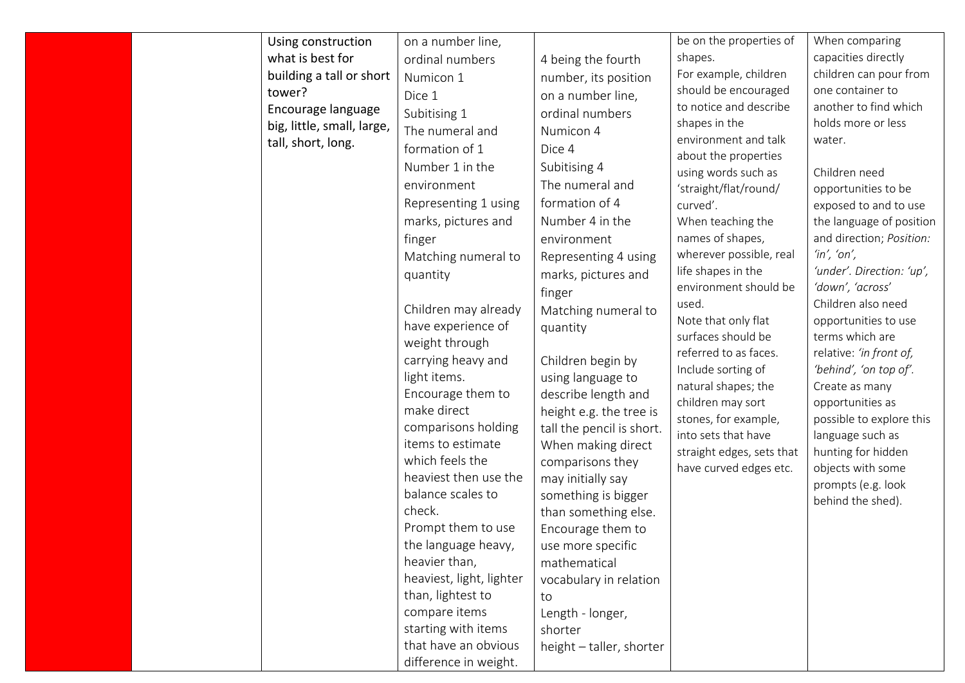| Using construction<br>what is best for<br>building a tall or short<br>tower?<br>Encourage language<br>big, little, small, large,<br>tall, short, long. | on a number line,<br>ordinal numbers<br>Numicon 1<br>Dice 1<br>Subitising 1<br>The numeral and<br>formation of 1<br>Number 1 in the<br>environment<br>Representing 1 using<br>marks, pictures and<br>finger<br>Matching numeral to<br>quantity<br>Children may already<br>have experience of<br>weight through<br>carrying heavy and<br>light items.<br>Encourage them to<br>make direct<br>comparisons holding<br>items to estimate<br>which feels the<br>heaviest then use the | 4 being the fourth<br>number, its position<br>on a number line,<br>ordinal numbers<br>Numicon 4<br>Dice 4<br>Subitising 4<br>The numeral and<br>formation of 4<br>Number 4 in the<br>environment<br>Representing 4 using<br>marks, pictures and<br>finger<br>Matching numeral to<br>quantity<br>Children begin by<br>using language to<br>describe length and<br>height e.g. the tree is<br>tall the pencil is short.<br>When making direct<br>comparisons they<br>may initially say | be on the properties of<br>shapes.<br>For example, children<br>should be encouraged<br>to notice and describe<br>shapes in the<br>environment and talk<br>about the properties<br>using words such as<br>'straight/flat/round/<br>curved'.<br>When teaching the<br>names of shapes,<br>wherever possible, real<br>life shapes in the<br>environment should be<br>used.<br>Note that only flat<br>surfaces should be<br>referred to as faces.<br>Include sorting of<br>natural shapes; the<br>children may sort<br>stones, for example,<br>into sets that have<br>straight edges, sets that<br>have curved edges etc. | When comparing<br>capacities directly<br>children can pour from<br>one container to<br>another to find which<br>holds more or less<br>water.<br>Children need<br>opportunities to be<br>exposed to and to use<br>the language of position<br>and direction; Position:<br>'in', 'on',<br>'under'. Direction: 'up',<br>'down', 'across'<br>Children also need<br>opportunities to use<br>terms which are<br>relative: 'in front of,<br>'behind', 'on top of'.<br>Create as many<br>opportunities as<br>possible to explore this<br>language such as<br>hunting for hidden<br>objects with some |
|--------------------------------------------------------------------------------------------------------------------------------------------------------|----------------------------------------------------------------------------------------------------------------------------------------------------------------------------------------------------------------------------------------------------------------------------------------------------------------------------------------------------------------------------------------------------------------------------------------------------------------------------------|--------------------------------------------------------------------------------------------------------------------------------------------------------------------------------------------------------------------------------------------------------------------------------------------------------------------------------------------------------------------------------------------------------------------------------------------------------------------------------------|----------------------------------------------------------------------------------------------------------------------------------------------------------------------------------------------------------------------------------------------------------------------------------------------------------------------------------------------------------------------------------------------------------------------------------------------------------------------------------------------------------------------------------------------------------------------------------------------------------------------|----------------------------------------------------------------------------------------------------------------------------------------------------------------------------------------------------------------------------------------------------------------------------------------------------------------------------------------------------------------------------------------------------------------------------------------------------------------------------------------------------------------------------------------------------------------------------------------------|
|                                                                                                                                                        | balance scales to<br>check.<br>Prompt them to use<br>the language heavy,<br>heavier than,<br>heaviest, light, lighter<br>than, lightest to<br>compare items<br>starting with items<br>that have an obvious                                                                                                                                                                                                                                                                       | something is bigger<br>than something else.<br>Encourage them to<br>use more specific<br>mathematical<br>vocabulary in relation<br>to<br>Length - longer,<br>shorter                                                                                                                                                                                                                                                                                                                 |                                                                                                                                                                                                                                                                                                                                                                                                                                                                                                                                                                                                                      | prompts (e.g. look<br>behind the shed).                                                                                                                                                                                                                                                                                                                                                                                                                                                                                                                                                      |
|                                                                                                                                                        | difference in weight.                                                                                                                                                                                                                                                                                                                                                                                                                                                            | height - taller, shorter                                                                                                                                                                                                                                                                                                                                                                                                                                                             |                                                                                                                                                                                                                                                                                                                                                                                                                                                                                                                                                                                                                      |                                                                                                                                                                                                                                                                                                                                                                                                                                                                                                                                                                                              |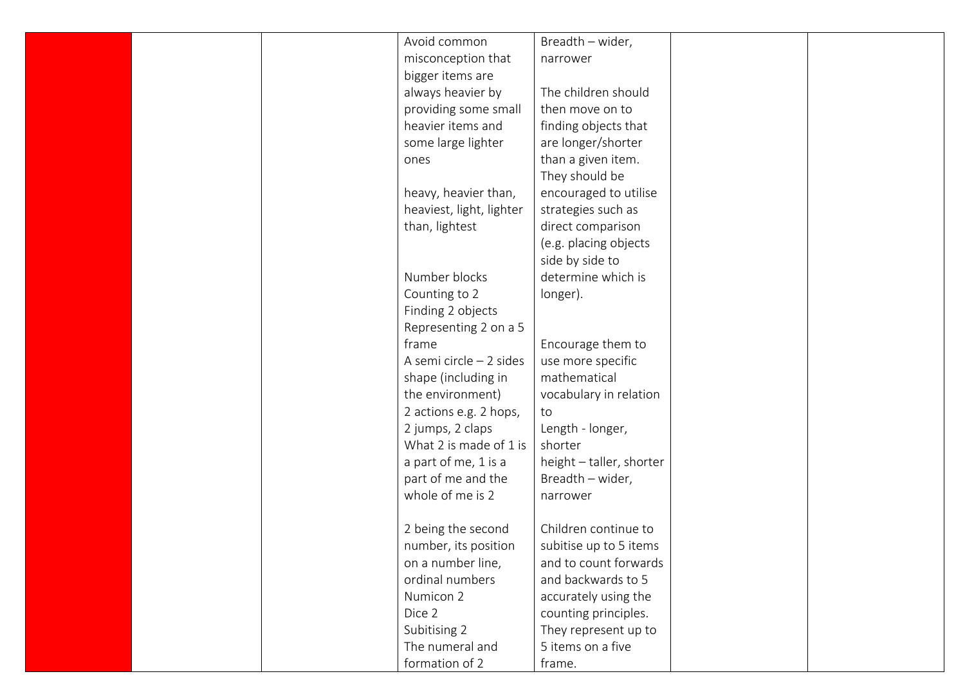| Avoid common             | Breadth - wider,         |  |
|--------------------------|--------------------------|--|
| misconception that       | narrower                 |  |
| bigger items are         |                          |  |
| always heavier by        | The children should      |  |
| providing some small     | then move on to          |  |
| heavier items and        | finding objects that     |  |
| some large lighter       | are longer/shorter       |  |
| ones                     | than a given item.       |  |
|                          | They should be           |  |
| heavy, heavier than,     | encouraged to utilise    |  |
| heaviest, light, lighter | strategies such as       |  |
| than, lightest           | direct comparison        |  |
|                          | (e.g. placing objects    |  |
|                          | side by side to          |  |
| Number blocks            | determine which is       |  |
| Counting to 2            | longer).                 |  |
| Finding 2 objects        |                          |  |
| Representing 2 on a 5    |                          |  |
| frame                    | Encourage them to        |  |
| A semi circle - 2 sides  | use more specific        |  |
| shape (including in      | mathematical             |  |
| the environment)         | vocabulary in relation   |  |
| 2 actions e.g. 2 hops,   | to                       |  |
| 2 jumps, 2 claps         | Length - longer,         |  |
| What 2 is made of 1 is   | shorter                  |  |
| a part of me, 1 is a     | height - taller, shorter |  |
| part of me and the       | Breadth - wider,         |  |
| whole of me is 2         | narrower                 |  |
|                          |                          |  |
| 2 being the second       | Children continue to     |  |
| number, its position     | subitise up to 5 items   |  |
| on a number line,        | and to count forwards    |  |
| ordinal numbers          | and backwards to 5       |  |
| Numicon 2                | accurately using the     |  |
| Dice 2                   | counting principles.     |  |
| Subitising 2             | They represent up to     |  |
| The numeral and          | 5 items on a five        |  |
| formation of 2           | frame.                   |  |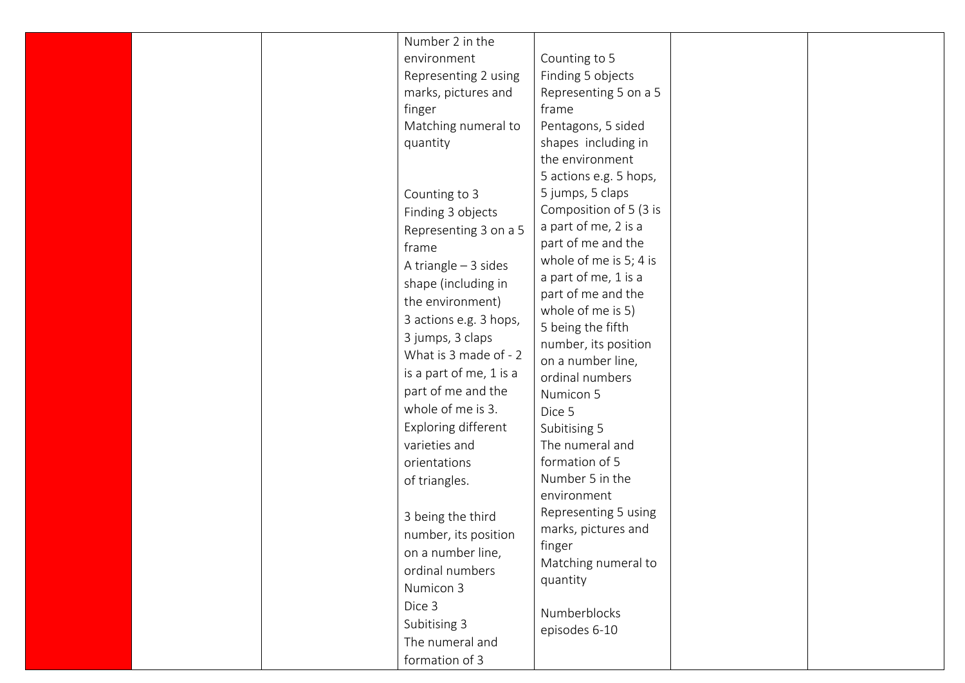|  | Number 2 in the<br>environment<br>Representing 2 using<br>marks, pictures and<br>finger<br>Matching numeral to<br>quantity<br>Counting to 3<br>Finding 3 objects<br>Representing 3 on a 5<br>frame<br>A triangle $-3$ sides<br>shape (including in<br>the environment)<br>3 actions e.g. 3 hops,<br>3 jumps, 3 claps<br>What is 3 made of - 2<br>is a part of me, 1 is a<br>part of me and the<br>whole of me is 3.<br>Exploring different<br>varieties and<br>orientations<br>of triangles.<br>3 being the third | Counting to 5<br>Finding 5 objects<br>Representing 5 on a 5<br>frame<br>Pentagons, 5 sided<br>shapes including in<br>the environment<br>5 actions e.g. 5 hops,<br>5 jumps, 5 claps<br>Composition of 5 (3 is<br>a part of me, 2 is a<br>part of me and the<br>whole of me is 5; 4 is<br>a part of me, 1 is a<br>part of me and the<br>whole of me is 5)<br>5 being the fifth<br>number, its position<br>on a number line,<br>ordinal numbers<br>Numicon 5<br>Dice 5<br>Subitising 5<br>The numeral and<br>formation of 5<br>Number 5 in the<br>environment<br>Representing 5 using |  |
|--|-------------------------------------------------------------------------------------------------------------------------------------------------------------------------------------------------------------------------------------------------------------------------------------------------------------------------------------------------------------------------------------------------------------------------------------------------------------------------------------------------------------------|------------------------------------------------------------------------------------------------------------------------------------------------------------------------------------------------------------------------------------------------------------------------------------------------------------------------------------------------------------------------------------------------------------------------------------------------------------------------------------------------------------------------------------------------------------------------------------|--|
|  | number, its position<br>on a number line,<br>ordinal numbers<br>Numicon 3                                                                                                                                                                                                                                                                                                                                                                                                                                         | marks, pictures and<br>finger<br>Matching numeral to<br>quantity                                                                                                                                                                                                                                                                                                                                                                                                                                                                                                                   |  |
|  | Dice 3<br>Subitising 3<br>The numeral and<br>formation of 3                                                                                                                                                                                                                                                                                                                                                                                                                                                       | Numberblocks<br>episodes 6-10                                                                                                                                                                                                                                                                                                                                                                                                                                                                                                                                                      |  |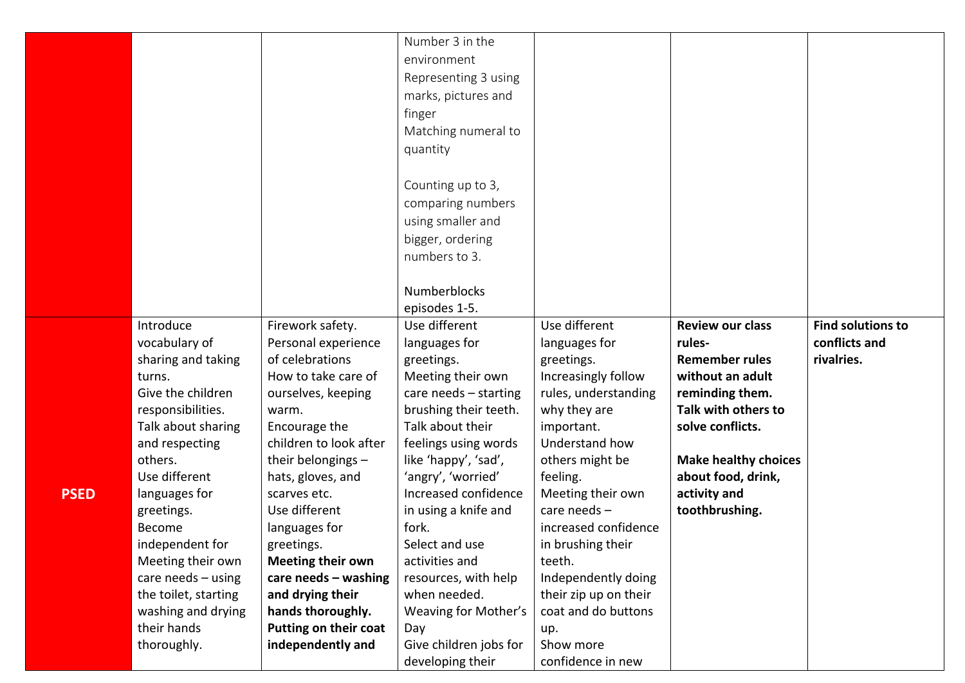|             |                      |                              | Number 3 in the        |                       |                             |                          |
|-------------|----------------------|------------------------------|------------------------|-----------------------|-----------------------------|--------------------------|
|             |                      |                              | environment            |                       |                             |                          |
|             |                      |                              | Representing 3 using   |                       |                             |                          |
|             |                      |                              | marks, pictures and    |                       |                             |                          |
|             |                      |                              | finger                 |                       |                             |                          |
|             |                      |                              |                        |                       |                             |                          |
|             |                      |                              | Matching numeral to    |                       |                             |                          |
|             |                      |                              | quantity               |                       |                             |                          |
|             |                      |                              | Counting up to 3,      |                       |                             |                          |
|             |                      |                              | comparing numbers      |                       |                             |                          |
|             |                      |                              |                        |                       |                             |                          |
|             |                      |                              | using smaller and      |                       |                             |                          |
|             |                      |                              | bigger, ordering       |                       |                             |                          |
|             |                      |                              | numbers to 3.          |                       |                             |                          |
|             |                      |                              | <b>Numberblocks</b>    |                       |                             |                          |
|             |                      |                              | episodes 1-5.          |                       |                             |                          |
|             | Introduce            | Firework safety.             | Use different          | Use different         | <b>Review our class</b>     | <b>Find solutions to</b> |
|             | vocabulary of        | Personal experience          | languages for          |                       | rules-                      | conflicts and            |
|             | sharing and taking   | of celebrations              |                        | languages for         | <b>Remember rules</b>       | rivalries.               |
|             |                      | How to take care of          | greetings.             | greetings.            |                             |                          |
|             | turns.               |                              | Meeting their own      | Increasingly follow   | without an adult            |                          |
|             | Give the children    | ourselves, keeping           | care needs - starting  | rules, understanding  | reminding them.             |                          |
|             | responsibilities.    | warm.                        | brushing their teeth.  | why they are          | Talk with others to         |                          |
|             | Talk about sharing   | Encourage the                | Talk about their       | important.            | solve conflicts.            |                          |
|             | and respecting       | children to look after       | feelings using words   | Understand how        |                             |                          |
|             | others.              | their belongings -           | like 'happy', 'sad',   | others might be       | <b>Make healthy choices</b> |                          |
|             | Use different        | hats, gloves, and            | 'angry', 'worried'     | feeling.              | about food, drink,          |                          |
| <b>PSED</b> | languages for        | scarves etc.                 | Increased confidence   | Meeting their own     | activity and                |                          |
|             | greetings.           | Use different                | in using a knife and   | care needs $-$        | toothbrushing.              |                          |
|             | Become               | languages for                | fork.                  | increased confidence  |                             |                          |
|             | independent for      | greetings.                   | Select and use         | in brushing their     |                             |                          |
|             | Meeting their own    | <b>Meeting their own</b>     | activities and         | teeth.                |                             |                          |
|             | care needs $-$ using | care needs $-$ washing       | resources, with help   | Independently doing   |                             |                          |
|             | the toilet, starting | and drying their             | when needed.           | their zip up on their |                             |                          |
|             | washing and drying   | hands thoroughly.            | Weaving for Mother's   | coat and do buttons   |                             |                          |
|             | their hands          | <b>Putting on their coat</b> | Day                    | up.                   |                             |                          |
|             | thoroughly.          | independently and            | Give children jobs for | Show more             |                             |                          |
|             |                      |                              | developing their       | confidence in new     |                             |                          |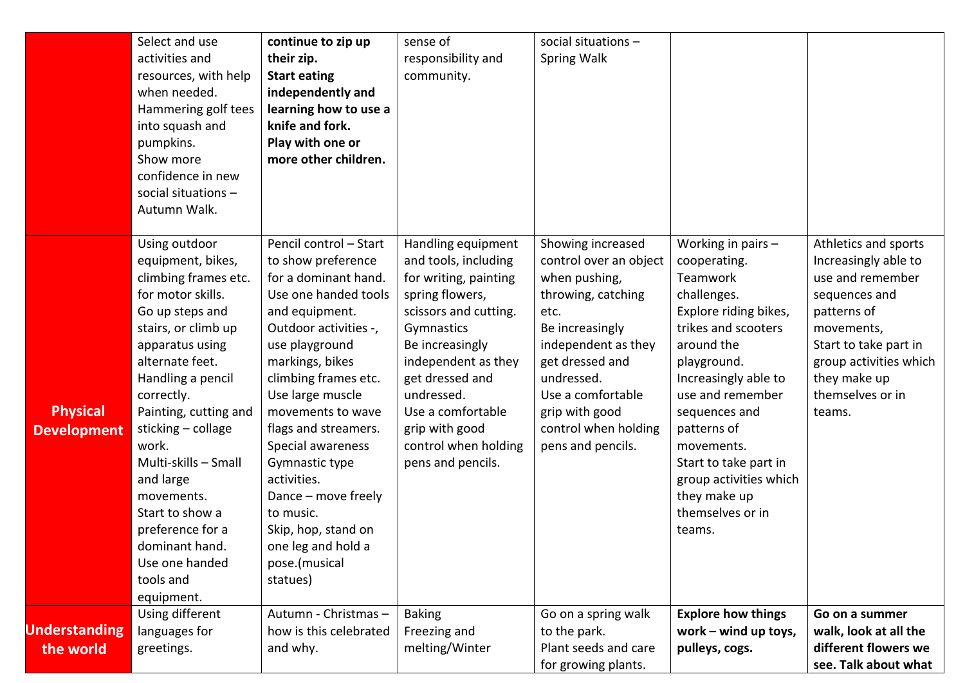|                                       | Select and use<br>activities and<br>resources, with help<br>when needed.<br>Hammering golf tees<br>into squash and<br>pumpkins.<br>Show more<br>confidence in new<br>social situations $-$<br>Autumn Walk.                                                                                                                                                                                                          | continue to zip up<br>their zip.<br><b>Start eating</b><br>independently and<br>learning how to use a<br>knife and fork.<br>Play with one or<br>more other children.                                                                                                                                                                                                                                                                      | sense of<br>responsibility and<br>community.                                                                                                                                                                                                                                                 | social situations $-$<br>Spring Walk                                                                                                                                                                                                                      |                                                                                                                                                                                                                                                                                                                                         |                                                                                                                                                                                                                 |
|---------------------------------------|---------------------------------------------------------------------------------------------------------------------------------------------------------------------------------------------------------------------------------------------------------------------------------------------------------------------------------------------------------------------------------------------------------------------|-------------------------------------------------------------------------------------------------------------------------------------------------------------------------------------------------------------------------------------------------------------------------------------------------------------------------------------------------------------------------------------------------------------------------------------------|----------------------------------------------------------------------------------------------------------------------------------------------------------------------------------------------------------------------------------------------------------------------------------------------|-----------------------------------------------------------------------------------------------------------------------------------------------------------------------------------------------------------------------------------------------------------|-----------------------------------------------------------------------------------------------------------------------------------------------------------------------------------------------------------------------------------------------------------------------------------------------------------------------------------------|-----------------------------------------------------------------------------------------------------------------------------------------------------------------------------------------------------------------|
| <b>Physical</b><br><b>Development</b> | Using outdoor<br>equipment, bikes,<br>climbing frames etc.<br>for motor skills.<br>Go up steps and<br>stairs, or climb up<br>apparatus using<br>alternate feet.<br>Handling a pencil<br>correctly.<br>Painting, cutting and<br>sticking - collage<br>work.<br>Multi-skills - Small<br>and large<br>movements.<br>Start to show a<br>preference for a<br>dominant hand.<br>Use one handed<br>tools and<br>equipment. | Pencil control - Start<br>to show preference<br>for a dominant hand.<br>Use one handed tools<br>and equipment.<br>Outdoor activities -,<br>use playground<br>markings, bikes<br>climbing frames etc.<br>Use large muscle<br>movements to wave<br>flags and streamers.<br>Special awareness<br>Gymnastic type<br>activities.<br>Dance - move freely<br>to music.<br>Skip, hop, stand on<br>one leg and hold a<br>pose.(musical<br>statues) | Handling equipment<br>and tools, including<br>for writing, painting<br>spring flowers,<br>scissors and cutting.<br>Gymnastics<br>Be increasingly<br>independent as they<br>get dressed and<br>undressed.<br>Use a comfortable<br>grip with good<br>control when holding<br>pens and pencils. | Showing increased<br>control over an object<br>when pushing,<br>throwing, catching<br>etc.<br>Be increasingly<br>independent as they<br>get dressed and<br>undressed.<br>Use a comfortable<br>grip with good<br>control when holding<br>pens and pencils. | Working in pairs $-$<br>cooperating.<br>Teamwork<br>challenges.<br>Explore riding bikes,<br>trikes and scooters<br>around the<br>playground.<br>Increasingly able to<br>use and remember<br>sequences and<br>patterns of<br>movements.<br>Start to take part in<br>group activities which<br>they make up<br>themselves or in<br>teams. | Athletics and sports<br>Increasingly able to<br>use and remember<br>sequences and<br>patterns of<br>movements,<br>Start to take part in<br>group activities which<br>they make up<br>themselves or in<br>teams. |
| <b>Understanding</b><br>the world     | Using different<br>languages for<br>greetings.                                                                                                                                                                                                                                                                                                                                                                      | Autumn - Christmas -<br>how is this celebrated<br>and why.                                                                                                                                                                                                                                                                                                                                                                                | <b>Baking</b><br>Freezing and<br>melting/Winter                                                                                                                                                                                                                                              | Go on a spring walk<br>to the park.<br>Plant seeds and care<br>for growing plants.                                                                                                                                                                        | <b>Explore how things</b><br>work $-$ wind up toys,<br>pulleys, cogs.                                                                                                                                                                                                                                                                   | Go on a summer<br>walk, look at all the<br>different flowers we<br>see. Talk about what                                                                                                                         |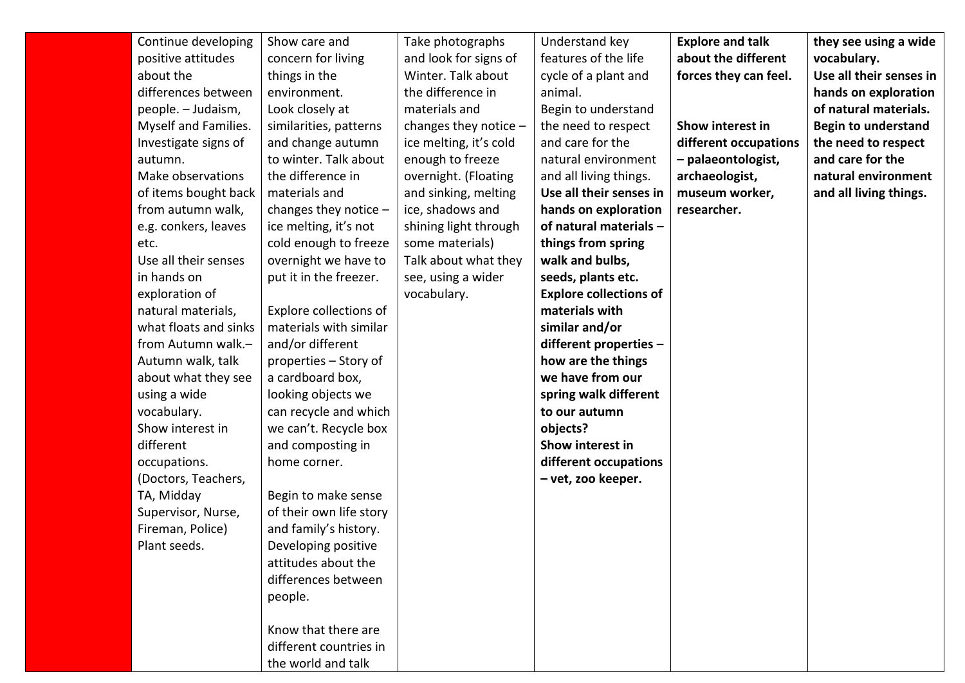| Continue developing<br>positive attitudes<br>about the<br>differences between<br>people. - Judaism,<br>Myself and Families.<br>Investigate signs of<br>autumn.<br>Make observations<br>of items bought back<br>from autumn walk,<br>e.g. conkers, leaves<br>etc.<br>Use all their senses<br>in hands on<br>exploration of<br>natural materials,<br>what floats and sinks<br>from Autumn walk.-<br>Autumn walk, talk<br>about what they see<br>using a wide | Show care and<br>concern for living<br>things in the<br>environment.<br>Look closely at<br>similarities, patterns<br>and change autumn<br>to winter. Talk about<br>the difference in<br>materials and<br>changes they notice $-$<br>ice melting, it's not<br>cold enough to freeze<br>overnight we have to<br>put it in the freezer.<br>Explore collections of<br>materials with similar<br>and/or different<br>properties – Story of<br>a cardboard box,<br>looking objects we | Take photographs<br>and look for signs of<br>Winter. Talk about<br>the difference in<br>materials and<br>changes they notice $-$<br>ice melting, it's cold<br>enough to freeze<br>overnight. (Floating<br>and sinking, melting<br>ice, shadows and<br>shining light through<br>some materials)<br>Talk about what they<br>see, using a wider<br>vocabulary. | Understand key<br>features of the life<br>cycle of a plant and<br>animal.<br>Begin to understand<br>the need to respect<br>and care for the<br>natural environment<br>and all living things.<br>Use all their senses in<br>hands on exploration<br>of natural materials -<br>things from spring<br>walk and bulbs,<br>seeds, plants etc.<br><b>Explore collections of</b><br>materials with<br>similar and/or<br>different properties -<br>how are the things<br>we have from our<br>spring walk different | <b>Explore and talk</b><br>about the different<br>forces they can feel.<br>Show interest in<br>different occupations<br>- palaeontologist,<br>archaeologist,<br>museum worker,<br>researcher. | they see using a wide<br>vocabulary.<br>Use all their senses in<br>hands on exploration<br>of natural materials.<br><b>Begin to understand</b><br>the need to respect<br>and care for the<br>natural environment<br>and all living things. |
|------------------------------------------------------------------------------------------------------------------------------------------------------------------------------------------------------------------------------------------------------------------------------------------------------------------------------------------------------------------------------------------------------------------------------------------------------------|---------------------------------------------------------------------------------------------------------------------------------------------------------------------------------------------------------------------------------------------------------------------------------------------------------------------------------------------------------------------------------------------------------------------------------------------------------------------------------|-------------------------------------------------------------------------------------------------------------------------------------------------------------------------------------------------------------------------------------------------------------------------------------------------------------------------------------------------------------|------------------------------------------------------------------------------------------------------------------------------------------------------------------------------------------------------------------------------------------------------------------------------------------------------------------------------------------------------------------------------------------------------------------------------------------------------------------------------------------------------------|-----------------------------------------------------------------------------------------------------------------------------------------------------------------------------------------------|--------------------------------------------------------------------------------------------------------------------------------------------------------------------------------------------------------------------------------------------|
|                                                                                                                                                                                                                                                                                                                                                                                                                                                            |                                                                                                                                                                                                                                                                                                                                                                                                                                                                                 |                                                                                                                                                                                                                                                                                                                                                             |                                                                                                                                                                                                                                                                                                                                                                                                                                                                                                            |                                                                                                                                                                                               |                                                                                                                                                                                                                                            |
|                                                                                                                                                                                                                                                                                                                                                                                                                                                            |                                                                                                                                                                                                                                                                                                                                                                                                                                                                                 |                                                                                                                                                                                                                                                                                                                                                             |                                                                                                                                                                                                                                                                                                                                                                                                                                                                                                            |                                                                                                                                                                                               |                                                                                                                                                                                                                                            |
|                                                                                                                                                                                                                                                                                                                                                                                                                                                            |                                                                                                                                                                                                                                                                                                                                                                                                                                                                                 |                                                                                                                                                                                                                                                                                                                                                             |                                                                                                                                                                                                                                                                                                                                                                                                                                                                                                            |                                                                                                                                                                                               |                                                                                                                                                                                                                                            |
|                                                                                                                                                                                                                                                                                                                                                                                                                                                            |                                                                                                                                                                                                                                                                                                                                                                                                                                                                                 |                                                                                                                                                                                                                                                                                                                                                             |                                                                                                                                                                                                                                                                                                                                                                                                                                                                                                            |                                                                                                                                                                                               |                                                                                                                                                                                                                                            |
|                                                                                                                                                                                                                                                                                                                                                                                                                                                            |                                                                                                                                                                                                                                                                                                                                                                                                                                                                                 |                                                                                                                                                                                                                                                                                                                                                             |                                                                                                                                                                                                                                                                                                                                                                                                                                                                                                            |                                                                                                                                                                                               |                                                                                                                                                                                                                                            |
|                                                                                                                                                                                                                                                                                                                                                                                                                                                            |                                                                                                                                                                                                                                                                                                                                                                                                                                                                                 |                                                                                                                                                                                                                                                                                                                                                             |                                                                                                                                                                                                                                                                                                                                                                                                                                                                                                            |                                                                                                                                                                                               |                                                                                                                                                                                                                                            |
|                                                                                                                                                                                                                                                                                                                                                                                                                                                            |                                                                                                                                                                                                                                                                                                                                                                                                                                                                                 |                                                                                                                                                                                                                                                                                                                                                             |                                                                                                                                                                                                                                                                                                                                                                                                                                                                                                            |                                                                                                                                                                                               |                                                                                                                                                                                                                                            |
|                                                                                                                                                                                                                                                                                                                                                                                                                                                            |                                                                                                                                                                                                                                                                                                                                                                                                                                                                                 |                                                                                                                                                                                                                                                                                                                                                             |                                                                                                                                                                                                                                                                                                                                                                                                                                                                                                            |                                                                                                                                                                                               |                                                                                                                                                                                                                                            |
|                                                                                                                                                                                                                                                                                                                                                                                                                                                            |                                                                                                                                                                                                                                                                                                                                                                                                                                                                                 |                                                                                                                                                                                                                                                                                                                                                             |                                                                                                                                                                                                                                                                                                                                                                                                                                                                                                            |                                                                                                                                                                                               |                                                                                                                                                                                                                                            |
| vocabulary.                                                                                                                                                                                                                                                                                                                                                                                                                                                | can recycle and which                                                                                                                                                                                                                                                                                                                                                                                                                                                           |                                                                                                                                                                                                                                                                                                                                                             | to our autumn                                                                                                                                                                                                                                                                                                                                                                                                                                                                                              |                                                                                                                                                                                               |                                                                                                                                                                                                                                            |
| Show interest in                                                                                                                                                                                                                                                                                                                                                                                                                                           | we can't. Recycle box                                                                                                                                                                                                                                                                                                                                                                                                                                                           |                                                                                                                                                                                                                                                                                                                                                             | objects?                                                                                                                                                                                                                                                                                                                                                                                                                                                                                                   |                                                                                                                                                                                               |                                                                                                                                                                                                                                            |
| different                                                                                                                                                                                                                                                                                                                                                                                                                                                  | and composting in                                                                                                                                                                                                                                                                                                                                                                                                                                                               |                                                                                                                                                                                                                                                                                                                                                             | Show interest in                                                                                                                                                                                                                                                                                                                                                                                                                                                                                           |                                                                                                                                                                                               |                                                                                                                                                                                                                                            |
| occupations.                                                                                                                                                                                                                                                                                                                                                                                                                                               | home corner.                                                                                                                                                                                                                                                                                                                                                                                                                                                                    |                                                                                                                                                                                                                                                                                                                                                             | different occupations                                                                                                                                                                                                                                                                                                                                                                                                                                                                                      |                                                                                                                                                                                               |                                                                                                                                                                                                                                            |
| (Doctors, Teachers,                                                                                                                                                                                                                                                                                                                                                                                                                                        |                                                                                                                                                                                                                                                                                                                                                                                                                                                                                 |                                                                                                                                                                                                                                                                                                                                                             | - vet, zoo keeper.                                                                                                                                                                                                                                                                                                                                                                                                                                                                                         |                                                                                                                                                                                               |                                                                                                                                                                                                                                            |
| TA, Midday                                                                                                                                                                                                                                                                                                                                                                                                                                                 | Begin to make sense                                                                                                                                                                                                                                                                                                                                                                                                                                                             |                                                                                                                                                                                                                                                                                                                                                             |                                                                                                                                                                                                                                                                                                                                                                                                                                                                                                            |                                                                                                                                                                                               |                                                                                                                                                                                                                                            |
| Supervisor, Nurse,                                                                                                                                                                                                                                                                                                                                                                                                                                         | of their own life story                                                                                                                                                                                                                                                                                                                                                                                                                                                         |                                                                                                                                                                                                                                                                                                                                                             |                                                                                                                                                                                                                                                                                                                                                                                                                                                                                                            |                                                                                                                                                                                               |                                                                                                                                                                                                                                            |
| Fireman, Police)                                                                                                                                                                                                                                                                                                                                                                                                                                           | and family's history.                                                                                                                                                                                                                                                                                                                                                                                                                                                           |                                                                                                                                                                                                                                                                                                                                                             |                                                                                                                                                                                                                                                                                                                                                                                                                                                                                                            |                                                                                                                                                                                               |                                                                                                                                                                                                                                            |
| Plant seeds.                                                                                                                                                                                                                                                                                                                                                                                                                                               | Developing positive                                                                                                                                                                                                                                                                                                                                                                                                                                                             |                                                                                                                                                                                                                                                                                                                                                             |                                                                                                                                                                                                                                                                                                                                                                                                                                                                                                            |                                                                                                                                                                                               |                                                                                                                                                                                                                                            |
|                                                                                                                                                                                                                                                                                                                                                                                                                                                            | attitudes about the<br>differences between                                                                                                                                                                                                                                                                                                                                                                                                                                      |                                                                                                                                                                                                                                                                                                                                                             |                                                                                                                                                                                                                                                                                                                                                                                                                                                                                                            |                                                                                                                                                                                               |                                                                                                                                                                                                                                            |
|                                                                                                                                                                                                                                                                                                                                                                                                                                                            | people.                                                                                                                                                                                                                                                                                                                                                                                                                                                                         |                                                                                                                                                                                                                                                                                                                                                             |                                                                                                                                                                                                                                                                                                                                                                                                                                                                                                            |                                                                                                                                                                                               |                                                                                                                                                                                                                                            |
|                                                                                                                                                                                                                                                                                                                                                                                                                                                            |                                                                                                                                                                                                                                                                                                                                                                                                                                                                                 |                                                                                                                                                                                                                                                                                                                                                             |                                                                                                                                                                                                                                                                                                                                                                                                                                                                                                            |                                                                                                                                                                                               |                                                                                                                                                                                                                                            |
|                                                                                                                                                                                                                                                                                                                                                                                                                                                            | Know that there are                                                                                                                                                                                                                                                                                                                                                                                                                                                             |                                                                                                                                                                                                                                                                                                                                                             |                                                                                                                                                                                                                                                                                                                                                                                                                                                                                                            |                                                                                                                                                                                               |                                                                                                                                                                                                                                            |
|                                                                                                                                                                                                                                                                                                                                                                                                                                                            | different countries in                                                                                                                                                                                                                                                                                                                                                                                                                                                          |                                                                                                                                                                                                                                                                                                                                                             |                                                                                                                                                                                                                                                                                                                                                                                                                                                                                                            |                                                                                                                                                                                               |                                                                                                                                                                                                                                            |
|                                                                                                                                                                                                                                                                                                                                                                                                                                                            | the world and talk                                                                                                                                                                                                                                                                                                                                                                                                                                                              |                                                                                                                                                                                                                                                                                                                                                             |                                                                                                                                                                                                                                                                                                                                                                                                                                                                                                            |                                                                                                                                                                                               |                                                                                                                                                                                                                                            |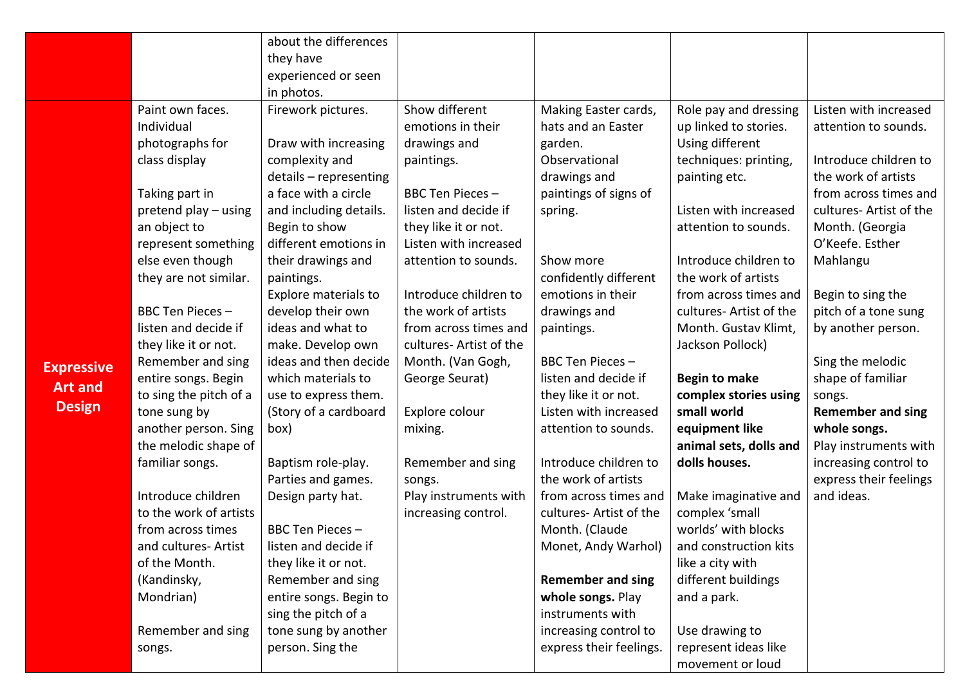|                   |                        | about the differences  |                         |                          |                         |                          |
|-------------------|------------------------|------------------------|-------------------------|--------------------------|-------------------------|--------------------------|
|                   |                        | they have              |                         |                          |                         |                          |
|                   |                        | experienced or seen    |                         |                          |                         |                          |
|                   |                        | in photos.             |                         |                          |                         |                          |
|                   | Paint own faces.       | Firework pictures.     | Show different          | Making Easter cards,     | Role pay and dressing   | Listen with increased    |
|                   | Individual             |                        | emotions in their       | hats and an Easter       | up linked to stories.   | attention to sounds.     |
|                   | photographs for        | Draw with increasing   | drawings and            | garden.                  | Using different         |                          |
|                   | class display          | complexity and         | paintings.              | Observational            | techniques: printing,   | Introduce children to    |
|                   |                        | details - representing |                         | drawings and             | painting etc.           | the work of artists      |
|                   | Taking part in         | a face with a circle   | BBC Ten Pieces-         | paintings of signs of    |                         | from across times and    |
|                   | pretend play - using   | and including details. | listen and decide if    | spring.                  | Listen with increased   | cultures- Artist of the  |
|                   | an object to           | Begin to show          | they like it or not.    |                          | attention to sounds.    | Month. (Georgia          |
|                   | represent something    | different emotions in  | Listen with increased   |                          |                         | O'Keefe. Esther          |
|                   | else even though       | their drawings and     | attention to sounds.    | Show more                | Introduce children to   | Mahlangu                 |
|                   | they are not similar.  | paintings.             |                         | confidently different    | the work of artists     |                          |
|                   |                        | Explore materials to   | Introduce children to   | emotions in their        | from across times and   | Begin to sing the        |
|                   | BBC Ten Pieces-        | develop their own      | the work of artists     | drawings and             | cultures- Artist of the | pitch of a tone sung     |
|                   | listen and decide if   | ideas and what to      | from across times and   | paintings.               | Month. Gustav Klimt,    | by another person.       |
|                   | they like it or not.   | make. Develop own      | cultures- Artist of the |                          | Jackson Pollock)        |                          |
| <b>Expressive</b> | Remember and sing      | ideas and then decide  | Month. (Van Gogh,       | BBC Ten Pieces-          |                         | Sing the melodic         |
| <b>Art and</b>    | entire songs. Begin    | which materials to     | George Seurat)          | listen and decide if     | <b>Begin to make</b>    | shape of familiar        |
|                   | to sing the pitch of a | use to express them.   |                         | they like it or not.     | complex stories using   | songs.                   |
| <b>Design</b>     | tone sung by           | (Story of a cardboard  | Explore colour          | Listen with increased    | small world             | <b>Remember and sing</b> |
|                   | another person. Sing   | box)                   | mixing.                 | attention to sounds.     | equipment like          | whole songs.             |
|                   | the melodic shape of   |                        |                         |                          | animal sets, dolls and  | Play instruments with    |
|                   | familiar songs.        | Baptism role-play.     | Remember and sing       | Introduce children to    | dolls houses.           | increasing control to    |
|                   |                        | Parties and games.     | songs.                  | the work of artists      |                         | express their feelings   |
|                   | Introduce children     | Design party hat.      | Play instruments with   | from across times and    | Make imaginative and    | and ideas.               |
|                   | to the work of artists |                        | increasing control.     | cultures- Artist of the  | complex 'small          |                          |
|                   | from across times      | BBC Ten Pieces -       |                         | Month. (Claude           | worlds' with blocks     |                          |
|                   | and cultures- Artist   | listen and decide if   |                         | Monet, Andy Warhol)      | and construction kits   |                          |
|                   | of the Month.          | they like it or not.   |                         |                          | like a city with        |                          |
|                   | (Kandinsky,            | Remember and sing      |                         | <b>Remember and sing</b> | different buildings     |                          |
|                   | Mondrian)              | entire songs. Begin to |                         | whole songs. Play        | and a park.             |                          |
|                   |                        | sing the pitch of a    |                         | instruments with         |                         |                          |
|                   | Remember and sing      | tone sung by another   |                         | increasing control to    | Use drawing to          |                          |
|                   | songs.                 | person. Sing the       |                         | express their feelings.  | represent ideas like    |                          |
|                   |                        |                        |                         |                          | movement or loud        |                          |